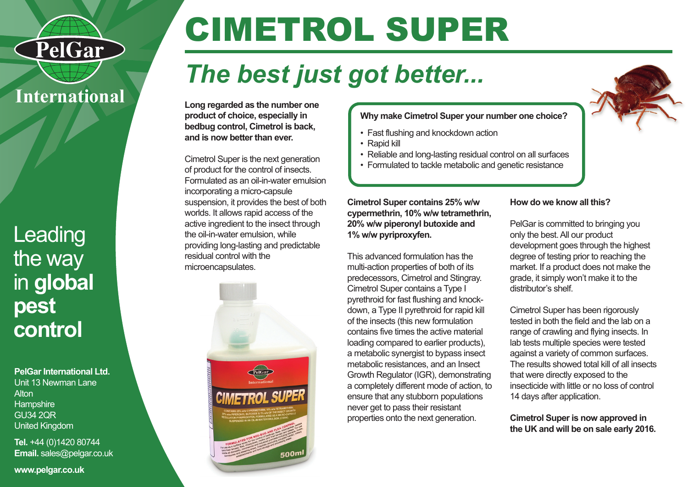

PelGar

## Leading the way in **global pest control**

**PelGar International Ltd.** Unit 13 Newman Lane **Alton Hampshire** GU34 2QR United Kingdom

**Tel.** +44 (0)1420 80744 **Email.** sales@pelgar.co.uk

**www.pelgar.co.uk**

# CIMETROL SUPER

## *The best just got better...*

**Long regarded as the number one product of choice, especially in bedbug control, Cimetrol is back, and is now better than ever.**

Cimetrol Super is the next generation of product for the control of insects. Formulated as an oil-in-water emulsion incorporating a micro-capsule suspension, it provides the best of both worlds. It allows rapid access of the active ingredient to the insect through the oil-in-water emulsion, while providing long-lasting and predictable residual control with the microencapsulates.



**Why make Cimetrol Super your number one choice?**

- Fast flushing and knockdown action
- Rapid kill
- Reliable and long-lasting residual control on all surfaces
- Formulated to tackle metabolic and genetic resistance

**Cimetrol Super contains 25% w/w cypermethrin, 10% w/w tetramethrin, 20% w/w piperonyl butoxide and 1% w/w pyriproxyfen.**

This advanced formulation has the multi-action properties of both of its predecessors, Cimetrol and Stingray. Cimetrol Super contains a Type I pyrethroid for fast flushing and knockdown, a Type II pyrethroid for rapid kill of the insects (this new formulation contains five times the active material loading compared to earlier products), a metabolic synergist to bypass insect metabolic resistances, and an Insect Growth Regulator (IGR), demonstrating a completely different mode of action, to ensure that any stubborn populations never get to pass their resistant properties onto the next generation.

#### **How do we know all this?**

PelGar is committed to bringing you only the best. All our product development goes through the highest degree of testing prior to reaching the market. If a product does not make the grade, it simply won't make it to the distributor's shelf.

Cimetrol Super has been rigorously tested in both the field and the lab on a range of crawling and flying insects. In lab tests multiple species were tested against a variety of common surfaces. The results showed total kill of all insects that were directly exposed to the insecticide with little or no loss of control 14 days after application.

**Cimetrol Super is now approved in the UK and will be on sale early 2016.**